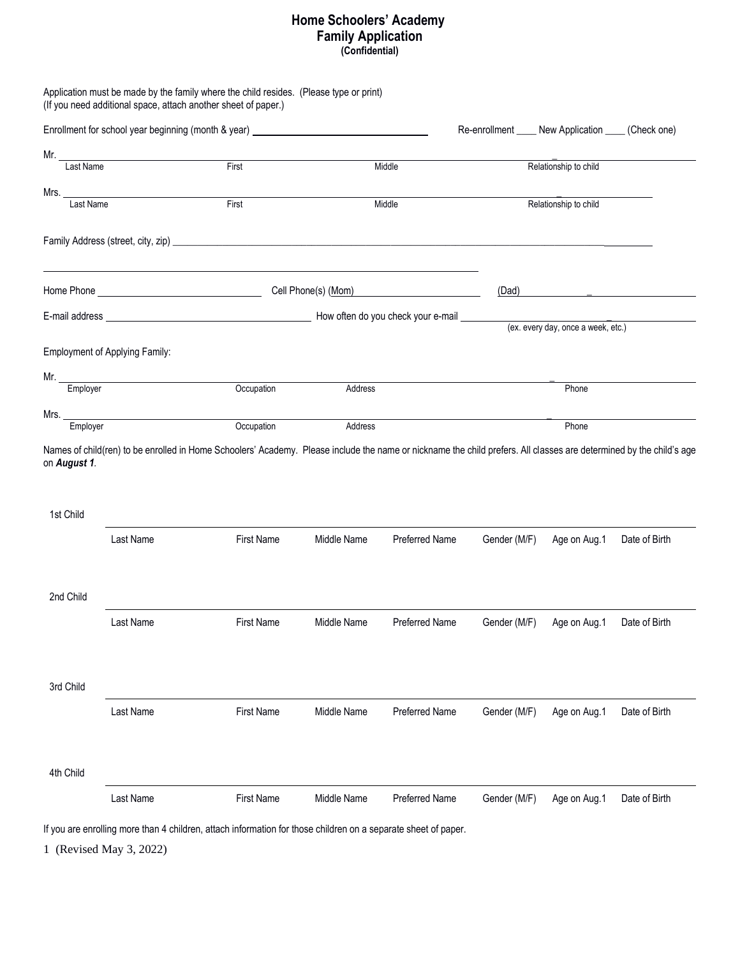## **Home Schoolers' Academy Family Application (Confidential)**

|                |                                       | Application must be made by the family where the child resides. (Please type or print)<br>(If you need additional space, attach another sheet of paper.) |             |                       |                                                       |                                    |               |  |
|----------------|---------------------------------------|----------------------------------------------------------------------------------------------------------------------------------------------------------|-------------|-----------------------|-------------------------------------------------------|------------------------------------|---------------|--|
|                |                                       | Enrollment for school year beginning (month & year) ____________________________                                                                         |             |                       | Re-enrollment _____ New Application _____ (Check one) |                                    |               |  |
|                | Mr. Last Name                         |                                                                                                                                                          |             |                       |                                                       |                                    |               |  |
|                |                                       | First                                                                                                                                                    |             | Middle                |                                                       | Relationship to child              |               |  |
| Mrs. Last Name |                                       |                                                                                                                                                          |             |                       |                                                       |                                    |               |  |
|                |                                       | First<br>Middle                                                                                                                                          |             |                       | Relationship to child                                 |                                    |               |  |
|                |                                       |                                                                                                                                                          |             |                       |                                                       |                                    |               |  |
|                |                                       |                                                                                                                                                          |             |                       |                                                       | (Dad)                              |               |  |
|                |                                       |                                                                                                                                                          |             |                       |                                                       |                                    |               |  |
|                |                                       |                                                                                                                                                          |             |                       |                                                       | (ex. every day, once a week, etc.) |               |  |
|                | <b>Employment of Applying Family:</b> |                                                                                                                                                          |             |                       |                                                       |                                    |               |  |
|                | Mr. Employer                          | Occupation                                                                                                                                               | Address     |                       |                                                       | Phone                              |               |  |
|                |                                       |                                                                                                                                                          |             |                       |                                                       |                                    |               |  |
|                | Mrs.<br>Employer                      | Occupation                                                                                                                                               | Address     |                       |                                                       | Phone                              |               |  |
| 1st Child      | Last Name                             | <b>First Name</b>                                                                                                                                        | Middle Name | Preferred Name        |                                                       |                                    | Date of Birth |  |
|                |                                       |                                                                                                                                                          |             |                       | Gender (M/F)                                          | Age on Aug.1                       |               |  |
| 2nd Child      |                                       |                                                                                                                                                          |             |                       |                                                       |                                    |               |  |
|                | Last Name                             | <b>First Name</b>                                                                                                                                        | Middle Name | <b>Preferred Name</b> | Gender (M/F)                                          | Age on Aug.1                       | Date of Birth |  |
| 3rd Child      |                                       |                                                                                                                                                          |             |                       |                                                       |                                    |               |  |
|                | Last Name                             | <b>First Name</b>                                                                                                                                        | Middle Name | <b>Preferred Name</b> | Gender (M/F)                                          | Age on Aug.1                       | Date of Birth |  |
| 4th Child      |                                       |                                                                                                                                                          |             |                       |                                                       |                                    |               |  |
|                | Last Name                             | <b>First Name</b>                                                                                                                                        | Middle Name | <b>Preferred Name</b> | Gender (M/F)                                          | Age on Aug.1                       | Date of Birth |  |

If you are enrolling more than 4 children, attach information for those children on a separate sheet of paper.

1 (Revised May 3, 2022)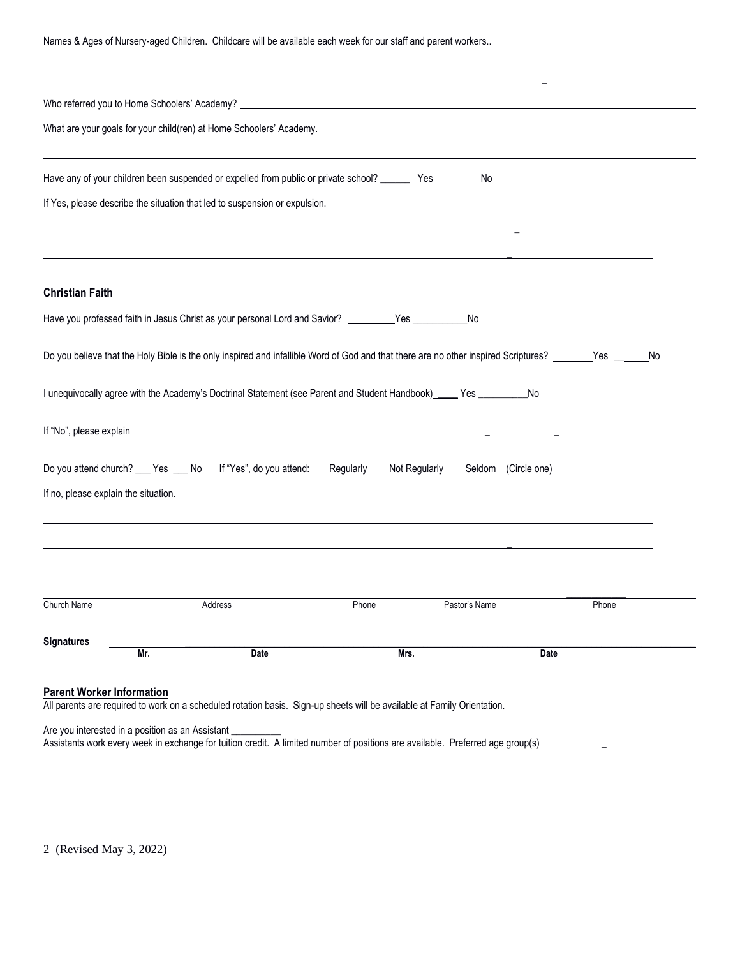Names & Ages of Nursery-aged Children. Childcare will be available each week for our staff and parent workers..

|                                                                     | Who referred you to Home Schoolers' Academy? Notice that the control of the control of the control of the control of the control of the control of the control of the control of the control of the control of the control of |           |                                      |       |  |  |  |
|---------------------------------------------------------------------|-------------------------------------------------------------------------------------------------------------------------------------------------------------------------------------------------------------------------------|-----------|--------------------------------------|-------|--|--|--|
| What are your goals for your child(ren) at Home Schoolers' Academy. |                                                                                                                                                                                                                               |           |                                      |       |  |  |  |
|                                                                     | Have any of your children been suspended or expelled from public or private school? ________ Yes ________ No                                                                                                                  |           |                                      |       |  |  |  |
|                                                                     | If Yes, please describe the situation that led to suspension or expulsion.                                                                                                                                                    |           |                                      |       |  |  |  |
| <b>Christian Faith</b>                                              |                                                                                                                                                                                                                               |           |                                      |       |  |  |  |
|                                                                     | Have you professed faith in Jesus Christ as your personal Lord and Savior? _________Yes ____________No                                                                                                                        |           |                                      |       |  |  |  |
|                                                                     | Do you believe that the Holy Bible is the only inspired and infallible Word of God and that there are no other inspired Scriptures? _______Yes ______No                                                                       |           |                                      |       |  |  |  |
|                                                                     | I unequivocally agree with the Academy's Doctrinal Statement (see Parent and Student Handbook) _____ Yes __________No                                                                                                         |           |                                      |       |  |  |  |
|                                                                     |                                                                                                                                                                                                                               |           |                                      |       |  |  |  |
|                                                                     | Do you attend church? ___ Yes ___ No If "Yes", do you attend:                                                                                                                                                                 | Regularly | Not Regularly<br>Seldom (Circle one) |       |  |  |  |
| If no, please explain the situation.                                |                                                                                                                                                                                                                               |           |                                      |       |  |  |  |
|                                                                     |                                                                                                                                                                                                                               |           |                                      |       |  |  |  |
|                                                                     |                                                                                                                                                                                                                               |           |                                      |       |  |  |  |
| Church Name                                                         | Address                                                                                                                                                                                                                       | Phone     | Pastor's Name                        | Phone |  |  |  |
| <b>Signatures</b><br>Mr.                                            | Date                                                                                                                                                                                                                          | Mrs.      |                                      | Date  |  |  |  |
| <b>Parent Worker Information</b>                                    |                                                                                                                                                                                                                               |           |                                      |       |  |  |  |

Are you interested in a position as an Assistant \_\_\_\_\_\_\_\_\_\_\_

Assistants work every week in exchange for tuition credit. A limited number of positions are available. Preferred age group(s) \_\_\_\_\_\_\_\_\_\_\_\_\_\_\_\_\_\_\_\_\_\_\_\_\_\_\_\_\_\_\_\_\_

2 (Revised May 3, 2022)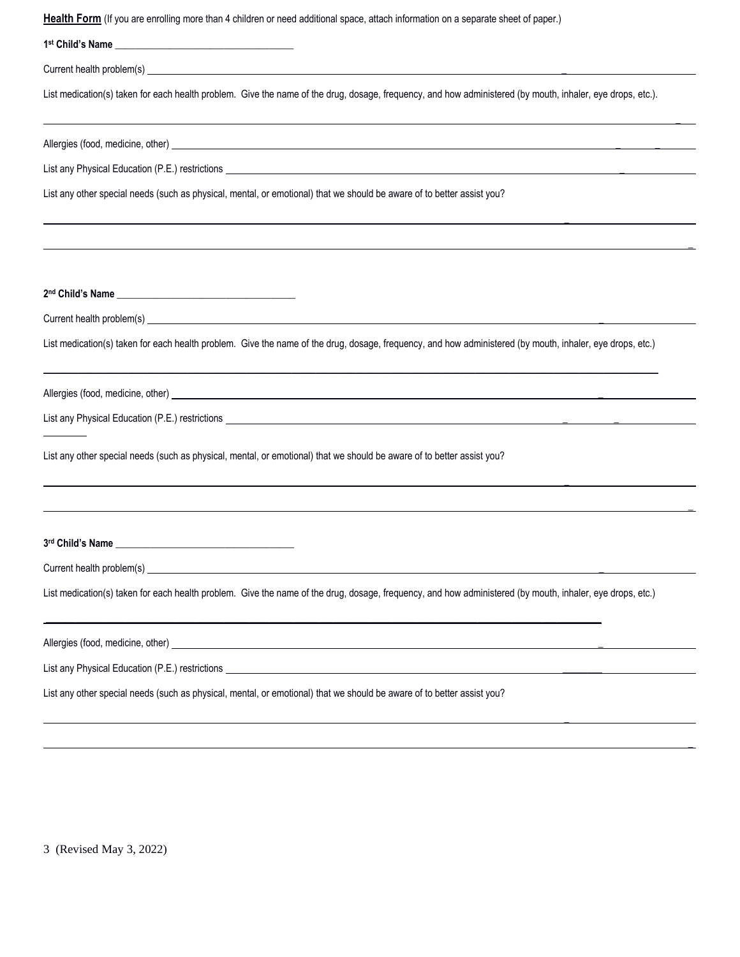| Health Form (If you are enrolling more than 4 children or need additional space, attach information on a separate sheet of paper.)                         |
|------------------------------------------------------------------------------------------------------------------------------------------------------------|
|                                                                                                                                                            |
|                                                                                                                                                            |
| List medication(s) taken for each health problem. Give the name of the drug, dosage, frequency, and how administered (by mouth, inhaler, eye drops, etc.). |
|                                                                                                                                                            |
|                                                                                                                                                            |
| List any other special needs (such as physical, mental, or emotional) that we should be aware of to better assist you?                                     |
|                                                                                                                                                            |
|                                                                                                                                                            |
|                                                                                                                                                            |
| List medication(s) taken for each health problem. Give the name of the drug, dosage, frequency, and how administered (by mouth, inhaler, eye drops, etc.)  |
|                                                                                                                                                            |
|                                                                                                                                                            |
| List any other special needs (such as physical, mental, or emotional) that we should be aware of to better assist you?                                     |
|                                                                                                                                                            |
| 3rd Child's Name __                                                                                                                                        |
|                                                                                                                                                            |
| List medication(s) taken for each health problem. Give the name of the drug, dosage, frequency, and how administered (by mouth, inhaler, eye drops, etc.)  |
|                                                                                                                                                            |
|                                                                                                                                                            |
| List any other special needs (such as physical, mental, or emotional) that we should be aware of to better assist you?                                     |
|                                                                                                                                                            |

\_

3 (Revised May 3, 2022)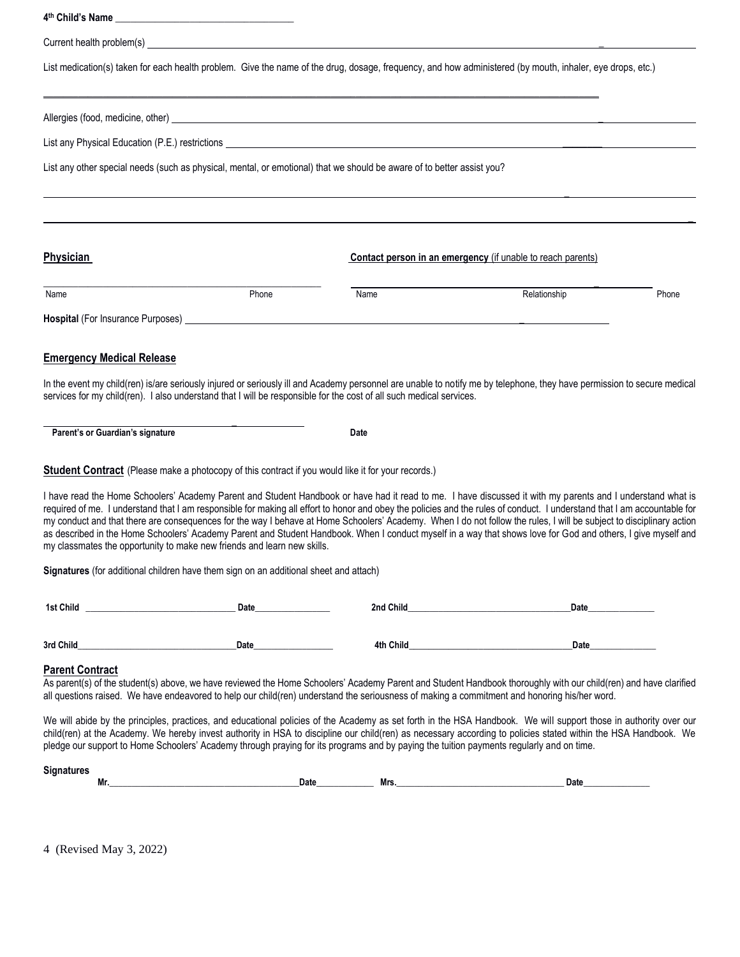**4 th Child's Name** \_\_\_\_\_\_\_\_\_\_\_\_\_\_\_\_\_\_\_\_\_\_\_\_\_\_\_\_\_\_\_\_\_\_\_\_ Current health problem(s) \_ List medication(s) taken for each health problem. Give the name of the drug, dosage, frequency, and how administered (by mouth, inhaler, eye drops, etc.) \_\_\_\_\_\_\_\_\_\_\_\_\_\_\_\_\_\_\_\_\_\_\_\_\_\_\_\_\_\_\_\_\_\_\_\_\_\_\_\_\_\_\_\_\_\_\_\_\_\_\_\_\_\_\_\_\_\_\_\_\_\_\_\_\_\_\_\_\_\_\_\_\_\_\_\_\_\_\_\_\_\_\_\_\_\_\_\_\_\_\_\_\_\_\_\_\_\_\_\_\_\_\_\_\_\_\_\_\_\_\_\_ Allergies (food, medicine, other) \_ List any Physical Education (P.E.) restrictions List any other special needs (such as physical, mental, or emotional) that we should be aware of to better assist you? \_ \_ **Physician Physician Contact person in an emergency** (if unable to reach parents) **\_\_\_\_\_\_\_\_\_\_\_\_\_\_\_\_\_\_\_\_\_\_\_\_\_\_\_\_\_\_\_\_\_\_\_\_\_\_\_\_\_\_\_\_\_\_\_\_\_\_\_\_\_\_\_\_ \_**  Name **Name Relationship Phone Phone Name** Name **Relationship** Relationship Phone **Hospital** (For Insurance Purposes) \_ **Emergency Medical Release** In the event my child(ren) is/are seriously injured or seriously ill and Academy personnel are unable to notify me by telephone, they have permission to secure medical services for my child(ren). I also understand that I will be responsible for the cost of all such medical services.  **\_ Parent's or Guardian's signature <br>
<b>Date Student Contract** (Please make a photocopy of this contract if you would like it for your records.) I have read the Home Schoolers' Academy Parent and Student Handbook or have had it read to me. I have discussed it with my parents and I understand what is required of me. I understand that I am responsible for making all effort to honor and obey the policies and the rules of conduct. I understand that I am accountable for my conduct and that there are consequences for the way I behave at Home Schoolers' Academy. When I do not follow the rules, I will be subject to disciplinary action as described in the Home Schoolers' Academy Parent and Student Handbook. When I conduct myself in a way that shows love for God and others, I give myself and my classmates the opportunity to make new friends and learn new skills. **Signatures** (for additional children have them sign on an additional sheet and attach)  Date **1st Child** 2nd Child **3rd Child\_\_\_\_\_\_\_\_\_\_\_\_\_\_\_\_\_\_\_\_\_\_\_\_\_\_\_\_\_\_\_\_\_\_\_\_Date\_\_\_\_\_\_\_\_\_\_\_\_\_\_\_\_\_\_ 4th Child\_\_\_\_\_\_\_\_\_\_\_\_\_\_\_\_\_\_\_\_\_\_\_\_\_\_\_\_\_\_\_\_\_Date\_\_\_\_\_\_\_\_\_\_\_\_\_\_\_ Parent Contract** As parent(s) of the student(s) above, we have reviewed the Home Schoolers' Academy Parent and Student Handbook thoroughly with our child(ren) and have clarified all questions raised. We have endeavored to help our child(ren) understand the seriousness of making a commitment and honoring his/her word. We will abide by the principles, practices, and educational policies of the Academy as set forth in the HSA Handbook. We will support those in authority over our child(ren) at the Academy. We hereby invest authority in HSA to discipline our child(ren) as necessary according to policies stated within the HSA Handbook. We pledge our support to Home Schoolers' Academy through praying for its programs and by paying the tuition payments regularly and on time.

| əlullatul es |    |      |     |      |
|--------------|----|------|-----|------|
|              | Mr | Date | Mrs | Date |

4 (Revised May 3, 2022)

**Signatures**